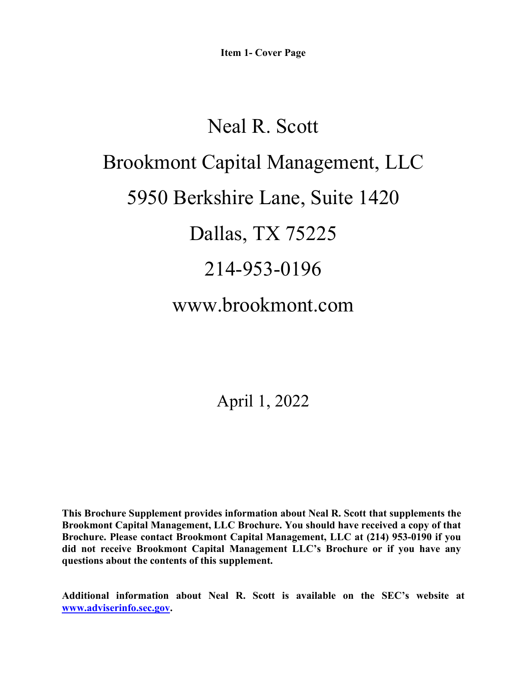**Item 1- Cover Page**

# Neal R. Scott Brookmont Capital Management, LLC 5950 Berkshire Lane, Suite 1420 Dallas, TX 75225 214-953-0196 www.brookmont.com

April 1, 2022

**This Brochure Supplement provides information about Neal R. Scott that supplements the Brookmont Capital Management, LLC Brochure. You should have received a copy of that Brochure. Please contact Brookmont Capital Management, LLC at (214) 953-0190 if you did not receive Brookmont Capital Management LLC's Brochure or if you have any questions about the contents of this supplement.** 

**Additional information about Neal R. Scott is available on the SEC's website at [www.adviserinfo.sec.gov.](http://www.adviserinfo.sec.gov/)**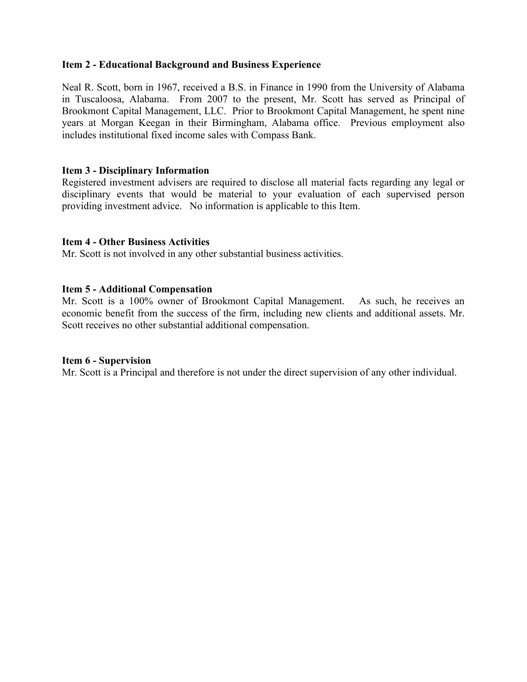# **Item 2 - Educational Background and Business Experience**

Neal R. Scott, born in 1967, received a B.S. in Finance in 1990 from the University of Alabama in Tuscaloosa, Alabama. From 2007 to the present, Mr. Scott has served as Principal of Brookmont Capital Management, LLC. Prior to Brookmont Capital Management, he spent nine years at Morgan Keegan in their Birmingham, Alabama office. Previous employment also includes institutional fixed income sales with Compass Bank.

# **Item 3 - Disciplinary Information**

Registered investment advisers are required to disclose all material facts regarding any legal or disciplinary events that would be material to your evaluation of each supervised person providing investment advice. No information is applicable to this Item.

# **Item 4 - Other Business Activities**

Mr. Scott is not involved in any other substantial business activities.

#### **Item 5 - Additional Compensation**

Mr. Scott is a 100% owner of Brookmont Capital Management. As such, he receives an economic benefit from the success of the firm, including new clients and additional assets. Mr. Scott receives no other substantial additional compensation.

#### **Item 6 - Supervision**

Mr. Scott is a Principal and therefore is not under the direct supervision of any other individual.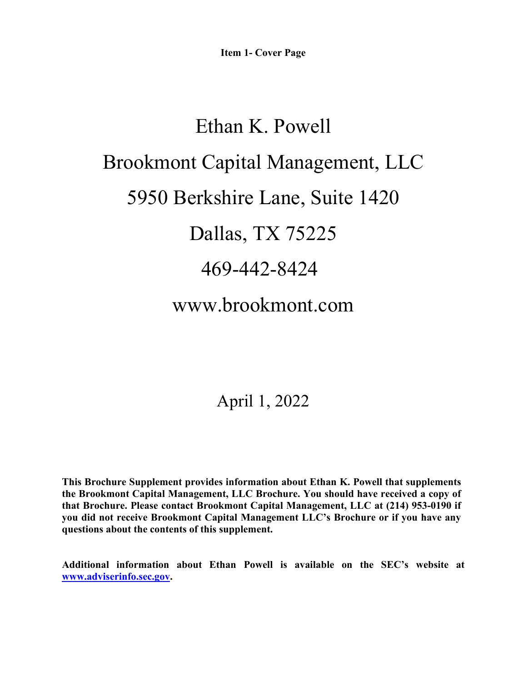# Ethan K. Powell Brookmont Capital Management, LLC 5950 Berkshire Lane, Suite 1420 Dallas, TX 75225 469-442-8424 www.brookmont.com

# April 1, 2022

**This Brochure Supplement provides information about Ethan K. Powell that supplements the Brookmont Capital Management, LLC Brochure. You should have received a copy of that Brochure. Please contact Brookmont Capital Management, LLC at (214) 953-0190 if you did not receive Brookmont Capital Management LLC's Brochure or if you have any questions about the contents of this supplement.** 

**Additional information about Ethan Powell is available on the SEC's website at [www.adviserinfo.sec.gov.](http://www.adviserinfo.sec.gov/)**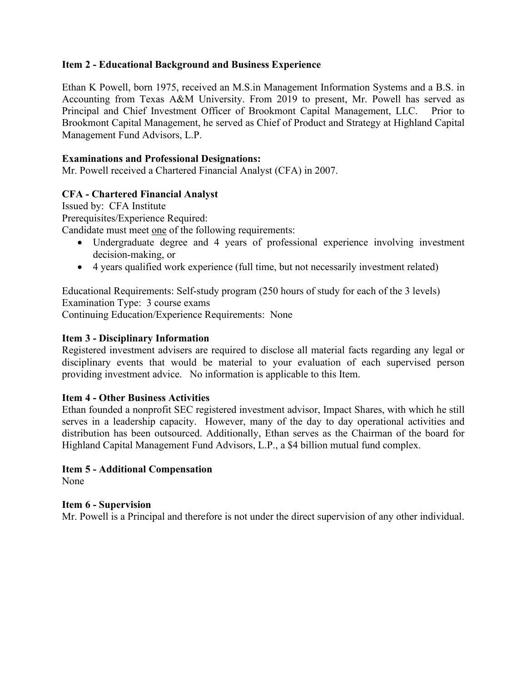# **Item 2 - Educational Background and Business Experience**

Ethan K Powell, born 1975, received an M.S.in Management Information Systems and a B.S. in Accounting from Texas A&M University. From 2019 to present, Mr. Powell has served as Principal and Chief Investment Officer of Brookmont Capital Management, LLC. Prior to Brookmont Capital Management, he served as Chief of Product and Strategy at Highland Capital Management Fund Advisors, L.P.

# **Examinations and Professional Designations:**

Mr. Powell received a Chartered Financial Analyst (CFA) in 2007.

# **CFA - Chartered Financial Analyst**

Issued by: CFA Institute

Prerequisites/Experience Required:

Candidate must meet one of the following requirements:

- Undergraduate degree and 4 years of professional experience involving investment decision-making, or
- 4 years qualified work experience (full time, but not necessarily investment related)

Educational Requirements: Self-study program (250 hours of study for each of the 3 levels) Examination Type: 3 course exams Continuing Education/Experience Requirements: None

# **Item 3 - Disciplinary Information**

Registered investment advisers are required to disclose all material facts regarding any legal or disciplinary events that would be material to your evaluation of each supervised person providing investment advice. No information is applicable to this Item.

# **Item 4 - Other Business Activities**

Ethan founded a nonprofit SEC registered investment advisor, Impact Shares, with which he still serves in a leadership capacity. However, many of the day to day operational activities and distribution has been outsourced. Additionally, Ethan serves as the Chairman of the board for Highland Capital Management Fund Advisors, L.P., a \$4 billion mutual fund complex.

# **Item 5 - Additional Compensation**

None

# **Item 6 - Supervision**

Mr. Powell is a Principal and therefore is not under the direct supervision of any other individual.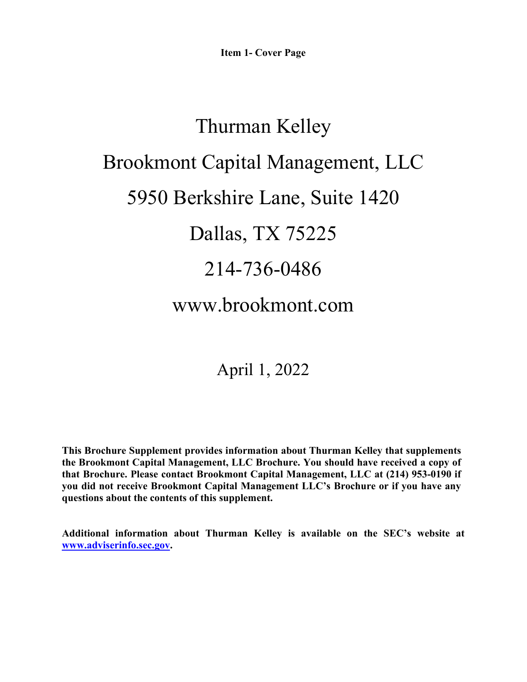# Thurman Kelley Brookmont Capital Management, LLC 5950 Berkshire Lane, Suite 1420 Dallas, TX 75225 214-736-0486 www.brookmont.com

April 1, 2022

**This Brochure Supplement provides information about Thurman Kelley that supplements the Brookmont Capital Management, LLC Brochure. You should have received a copy of that Brochure. Please contact Brookmont Capital Management, LLC at (214) 953-0190 if you did not receive Brookmont Capital Management LLC's Brochure or if you have any questions about the contents of this supplement.** 

**Additional information about Thurman Kelley is available on the SEC's website at [www.adviserinfo.sec.gov.](http://www.adviserinfo.sec.gov/)**